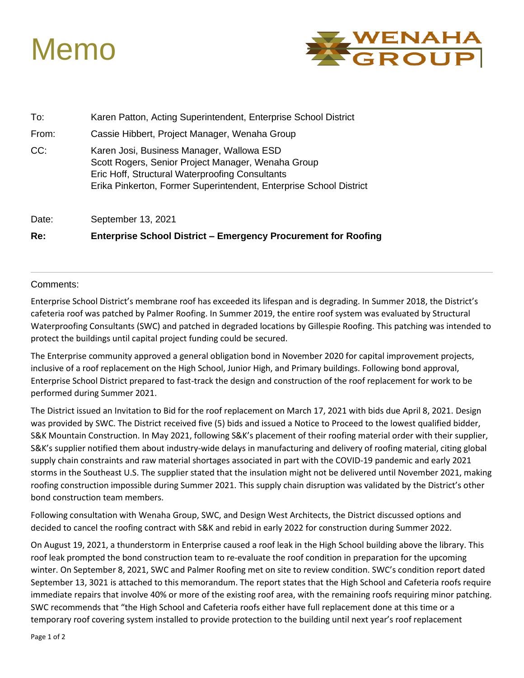



| To:   | Karen Patton, Acting Superintendent, Enterprise School District                                                                                                                                                          |
|-------|--------------------------------------------------------------------------------------------------------------------------------------------------------------------------------------------------------------------------|
| From: | Cassie Hibbert, Project Manager, Wenaha Group                                                                                                                                                                            |
| CC:   | Karen Josi, Business Manager, Wallowa ESD<br>Scott Rogers, Senior Project Manager, Wenaha Group<br>Eric Hoff, Structural Waterproofing Consultants<br>Erika Pinkerton, Former Superintendent, Enterprise School District |
| Date: | September 13, 2021                                                                                                                                                                                                       |

**Re: Enterprise School District – Emergency Procurement for Roofing**

### Comments:

Enterprise School District's membrane roof has exceeded its lifespan and is degrading. In Summer 2018, the District's cafeteria roof was patched by Palmer Roofing. In Summer 2019, the entire roof system was evaluated by Structural Waterproofing Consultants (SWC) and patched in degraded locations by Gillespie Roofing. This patching was intended to protect the buildings until capital project funding could be secured.

The Enterprise community approved a general obligation bond in November 2020 for capital improvement projects, inclusive of a roof replacement on the High School, Junior High, and Primary buildings. Following bond approval, Enterprise School District prepared to fast-track the design and construction of the roof replacement for work to be performed during Summer 2021.

The District issued an Invitation to Bid for the roof replacement on March 17, 2021 with bids due April 8, 2021. Design was provided by SWC. The District received five (5) bids and issued a Notice to Proceed to the lowest qualified bidder, S&K Mountain Construction. In May 2021, following S&K's placement of their roofing material order with their supplier, S&K's supplier notified them about industry-wide delays in manufacturing and delivery of roofing material, citing global supply chain constraints and raw material shortages associated in part with the COVID-19 pandemic and early 2021 storms in the Southeast U.S. The supplier stated that the insulation might not be delivered until November 2021, making roofing construction impossible during Summer 2021. This supply chain disruption was validated by the District's other bond construction team members.

Following consultation with Wenaha Group, SWC, and Design West Architects, the District discussed options and decided to cancel the roofing contract with S&K and rebid in early 2022 for construction during Summer 2022.

On August 19, 2021, a thunderstorm in Enterprise caused a roof leak in the High School building above the library. This roof leak prompted the bond construction team to re-evaluate the roof condition in preparation for the upcoming winter. On September 8, 2021, SWC and Palmer Roofing met on site to review condition. SWC's condition report dated September 13, 3021 is attached to this memorandum. The report states that the High School and Cafeteria roofs require immediate repairs that involve 40% or more of the existing roof area, with the remaining roofs requiring minor patching. SWC recommends that "the High School and Cafeteria roofs either have full replacement done at this time or a temporary roof covering system installed to provide protection to the building until next year's roof replacement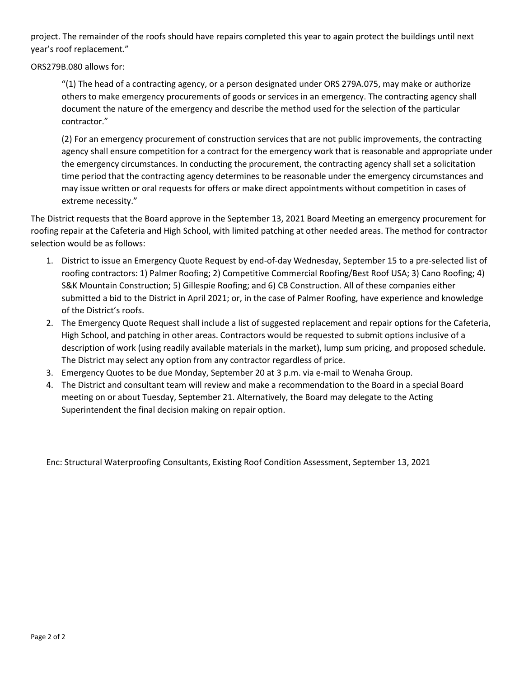project. The remainder of the roofs should have repairs completed this year to again protect the buildings until next year's roof replacement."

ORS279B.080 allows for:

"(1) The head of a contracting agency, or a person designated under ORS 279A.075, may make or authorize others to make emergency procurements of goods or services in an emergency. The contracting agency shall document the nature of the emergency and describe the method used for the selection of the particular contractor."

(2) For an emergency procurement of construction services that are not public improvements, the contracting agency shall ensure competition for a contract for the emergency work that is reasonable and appropriate under the emergency circumstances. In conducting the procurement, the contracting agency shall set a solicitation time period that the contracting agency determines to be reasonable under the emergency circumstances and may issue written or oral requests for offers or make direct appointments without competition in cases of extreme necessity."

The District requests that the Board approve in the September 13, 2021 Board Meeting an emergency procurement for roofing repair at the Cafeteria and High School, with limited patching at other needed areas. The method for contractor selection would be as follows:

- 1. District to issue an Emergency Quote Request by end-of-day Wednesday, September 15 to a pre-selected list of roofing contractors: 1) Palmer Roofing; 2) Competitive Commercial Roofing/Best Roof USA; 3) Cano Roofing; 4) S&K Mountain Construction; 5) Gillespie Roofing; and 6) CB Construction. All of these companies either submitted a bid to the District in April 2021; or, in the case of Palmer Roofing, have experience and knowledge of the District's roofs.
- 2. The Emergency Quote Request shall include a list of suggested replacement and repair options for the Cafeteria, High School, and patching in other areas. Contractors would be requested to submit options inclusive of a description of work (using readily available materials in the market), lump sum pricing, and proposed schedule. The District may select any option from any contractor regardless of price.
- 3. Emergency Quotes to be due Monday, September 20 at 3 p.m. via e-mail to Wenaha Group.
- 4. The District and consultant team will review and make a recommendation to the Board in a special Board meeting on or about Tuesday, September 21. Alternatively, the Board may delegate to the Acting Superintendent the final decision making on repair option.

Enc: Structural Waterproofing Consultants, Existing Roof Condition Assessment, September 13, 2021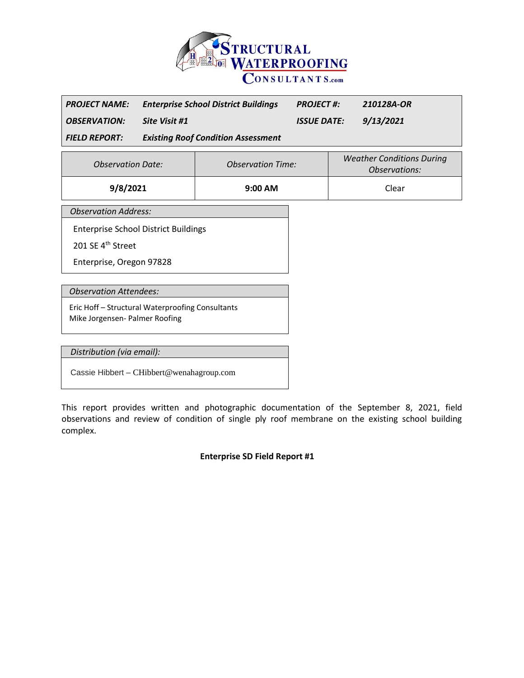

| <b>PROJECT NAME:</b> | <b>Enterprise School District Buildings</b> | <b>PROJECT #:</b>  | 210128A-OR |
|----------------------|---------------------------------------------|--------------------|------------|
| <b>OBSERVATION:</b>  | Site Visit #1                               | <b>ISSUE DATE:</b> | 9/13/2021  |
| <b>FIELD REPORT:</b> | <b>Existing Roof Condition Assessment</b>   |                    |            |

| <b>Observation Date:</b> | <b>Observation Time:</b> | <b>Weather Conditions During</b><br><i>Observations:</i> |
|--------------------------|--------------------------|----------------------------------------------------------|
| 9/8/2021                 | $9:00$ AM                | Clear                                                    |

*Observation Address:*

Enterprise School District Buildings

201 SE 4<sup>th</sup> Street

Enterprise, Oregon 97828

*Observation Attendees:*

Eric Hoff – Structural Waterproofing Consultants Mike Jorgensen- Palmer Roofing

*Distribution (via email):*

Cassie Hibbert – CHibbert@wenahagroup.com

This report provides written and photographic documentation of the September 8, 2021, field observations and review of condition of single ply roof membrane on the existing school building complex.

**Enterprise SD Field Report #1**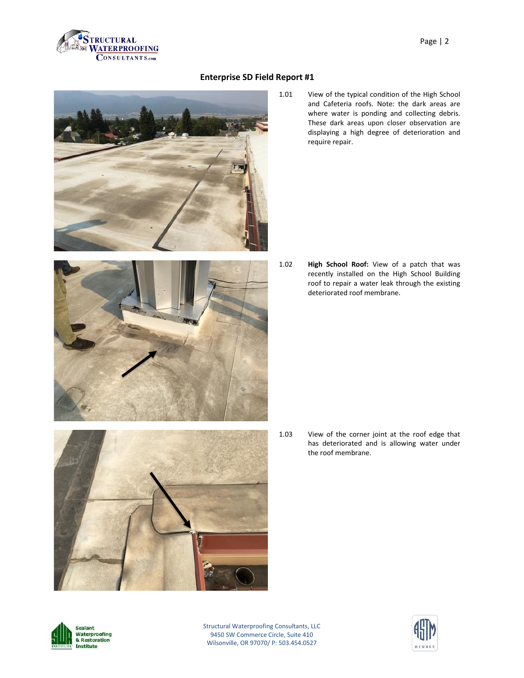



1.01 View of the typical condition of the High School and Cafeteria roofs. Note: the dark areas are where water is ponding and collecting debris. These dark areas upon closer observation are displaying a high degree of deterioration and require repair.

- 
- 1.02 **High School Roof:** View of a patch that was recently installed on the High School Building roof to repair a water leak through the existing deteriorated roof membrane.

1.03 View of the corner joint at the roof edge that has deteriorated and is allowing water under the roof membrane.



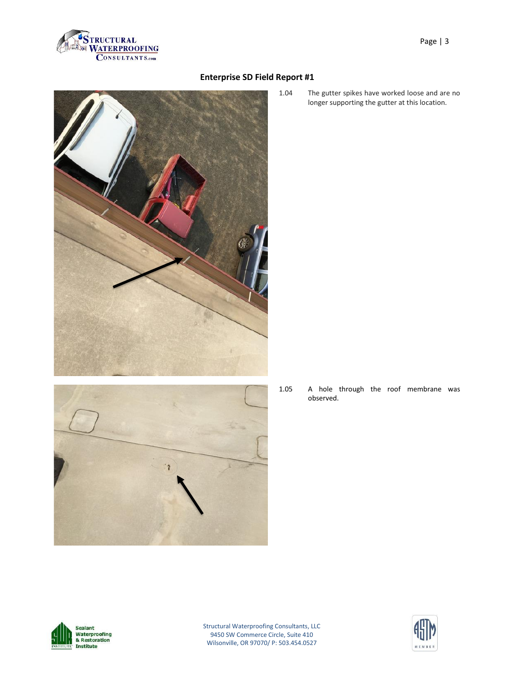

- 
- 

1.04 The gutter spikes have worked loose and are no longer supporting the gutter at this location.

1.05 A hole through the roof membrane was observed.



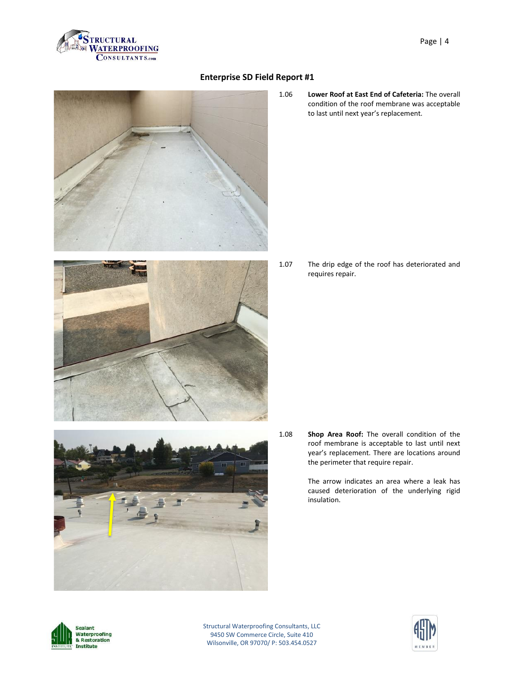

- 
- 1.06 **Lower Roof at East End of Cafeteria:** The overall condition of the roof membrane was acceptable to last until next year's replacement.

1.07 The drip edge of the roof has deteriorated and requires repair.

- 
- 1.08 **Shop Area Roof:** The overall condition of the roof membrane is acceptable to last until next year's replacement. There are locations around the perimeter that require repair.

The arrow indicates an area where a leak has caused deterioration of the underlying rigid insulation.



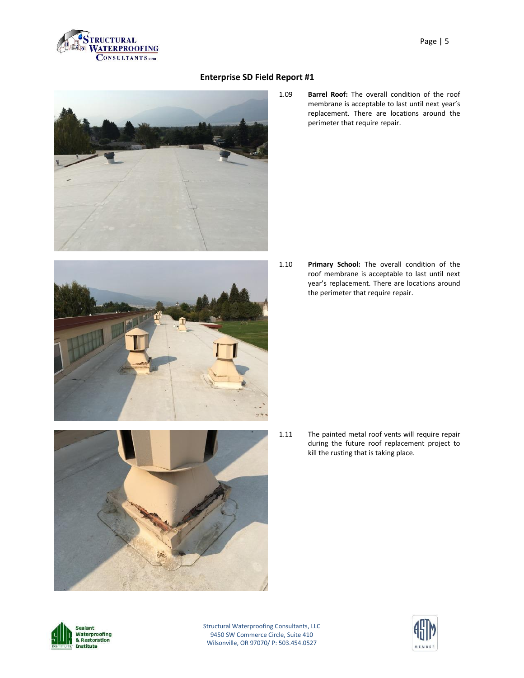

- 
- 



1.09 **Barrel Roof:** The overall condition of the roof membrane is acceptable to last until next year's replacement. There are locations around the perimeter that require repair.

1.10 **Primary School:** The overall condition of the roof membrane is acceptable to last until next year's replacement. There are locations around the perimeter that require repair.

1.11 The painted metal roof vents will require repair during the future roof replacement project to kill the rusting that is taking place.



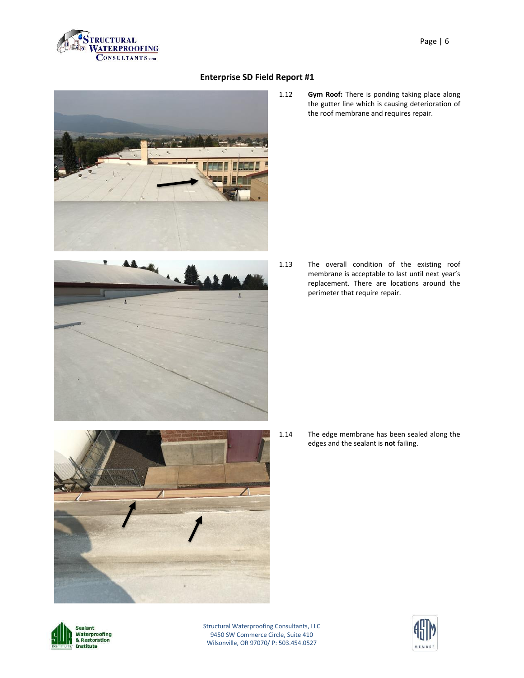

- 
- 1.12 **Gym Roof:** There is ponding taking place along the gutter line which is causing deterioration of the roof membrane and requires repair.

- 
- 1.13 The overall condition of the existing roof membrane is acceptable to last until next year's replacement. There are locations around the perimeter that require repair.

- 
- 1.14 The edge membrane has been sealed along the edges and the sealant is **not** failing.



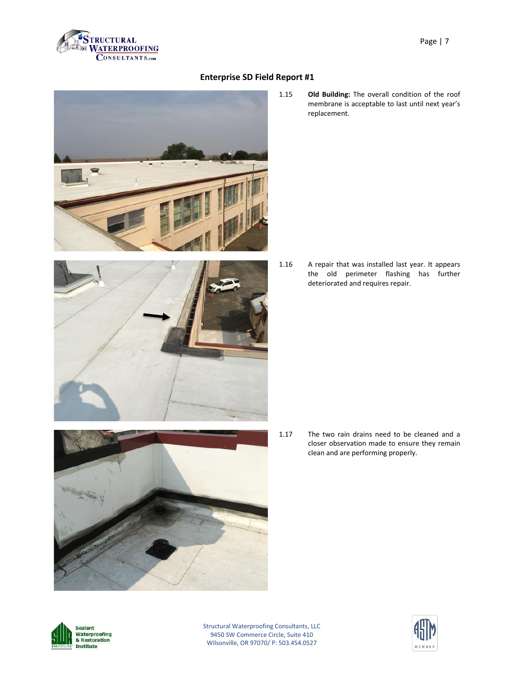

- 
- 
- 

1.15 **Old Building:** The overall condition of the roof membrane is acceptable to last until next year's replacement.

1.16 A repair that was installed last year. It appears the old perimeter flashing has further deteriorated and requires repair.

1.17 The two rain drains need to be cleaned and a closer observation made to ensure they remain clean and are performing properly.